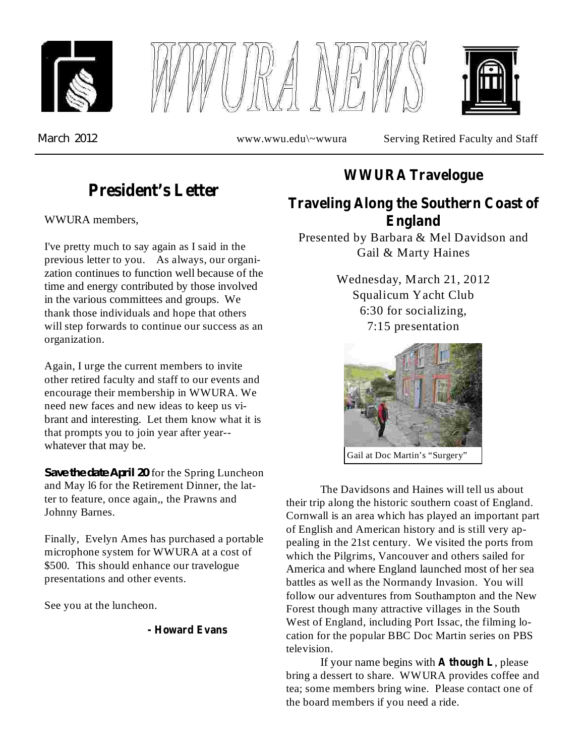





*March* 2012 www.wwu.edu\~wwura Serving Retired Faculty and Staff

# **President's Letter**

WWURA members,

I've pretty much to say again as I said in the previous letter to you. As always, our organization continues to function well because of the time and energy contributed by those involved in the various committees and groups. We thank those individuals and hope that others will step forwards to continue our success as an organization.

Again, I urge the current members to invite other retired faculty and staff to our events and encourage their membership in WWURA. We need new faces and new ideas to keep us vibrant and interesting. Let them know what it is that prompts you to join year after year- whatever that may be.

*Save the date April* 20 for the Spring Luncheon and May l6 for the Retirement Dinner, the latter to feature, once again,, the Prawns and Johnny Barnes.

Finally, Evelyn Ames has purchased a portable microphone system for WWURA at a cost of \$500. This should enhance our travelogue presentations and other events.

See you at the luncheon.

#### **- Howard Evans**

## **WWURA Travelogue**

# **Traveling Along the Southern Coast of England**

Presented by Barbara & Mel Davidson and Gail & Marty Haines

> Wednesday, March 21, 2012 Squalicum Yacht Club 6:30 for socializing, 7:15 presentation



Gail at Doc Martin's "Surgery"

The Davidsons and Haines will tell us about their trip along the historic southern coast of England. Cornwall is an area which has played an important part of English and American history and is still very appealing in the 21st century. We visited the ports from which the Pilgrims, Vancouver and others sailed for America and where England launched most of her sea battles as well as the Normandy Invasion. You will follow our adventures from Southampton and the New Forest though many attractive villages in the South West of England, including Port Issac, the filming location for the popular BBC Doc Martin series on PBS television.

If your name begins with **A** though **L**, please bring a dessert to share. WWURA provides coffee and tea; some members bring wine. Please contact one of the board members if you need a ride.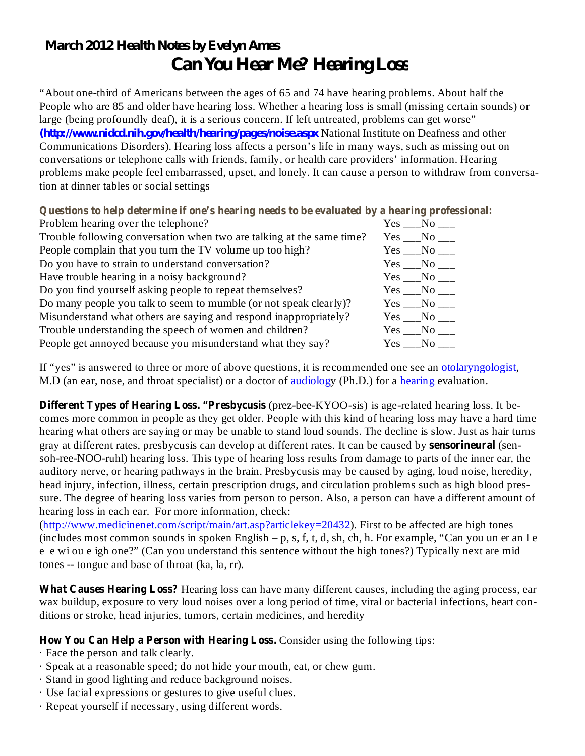# *March 2012 Health Notes by Evelyn Ames Can You Hear Me? Hearing Loss*

"About one-third of Americans between the ages of 65 and 74 have hearing problems. About half the People who are 85 and older have hearing loss. Whether a hearing loss is small (missing certain sounds) or large (being profoundly deaf), it is a serious concern. If left untreated, problems can get worse" (*http://www.nidcd.nih.gov/health/hearing/pages/noise.aspx* National Institute on Deafness and other Communications Disorders). Hearing loss affects a person's life in many ways, such as missing out on conversations or telephone calls with friends, family, or health care providers' information. Hearing problems make people feel embarrassed, upset, and lonely. It can cause a person to withdraw from conversation at dinner tables or social settings

**Questions to help determine if one's hearing needs to be evaluated by a hearing professional:**

| Problem hearing over the telephone?                                   | Yes No |                   |
|-----------------------------------------------------------------------|--------|-------------------|
| Trouble following conversation when two are talking at the same time? |        | Yes No            |
| People complain that you turn the TV volume up too high?              | Yes No |                   |
| Do you have to strain to understand conversation?                     |        | Yes No            |
| Have trouble hearing in a noisy background?                           |        | $Yes \_\_No \_\_$ |
| Do you find yourself asking people to repeat themselves?              |        | $Yes \_\_No \_\_$ |
| Do many people you talk to seem to mumble (or not speak clearly)?     |        | Yes No            |
| Misunderstand what others are saying and respond inappropriately?     |        | Yes No            |
| Trouble understanding the speech of women and children?               |        | Yes No            |
| People get annoyed because you misunderstand what they say?           | Yes No |                   |
|                                                                       |        |                   |

If "yes" is answered to three or more of above questions, it is recommended one see an otolaryngologist, M.D (an ear, nose, and throat specialist) or a doctor of audiology (Ph.D.) for a hearing evaluation.

**Different Types of Hearing Loss. "Presbycusis** (prez-bee-KYOO-sis) is age-related hearing loss. It becomes more common in people as they get older. People with this kind of hearing loss may have a hard time hearing what others are saying or may be unable to stand loud sounds. The decline is slow. Just as hair turns gray at different rates, presbycusis can develop at different rates. It can be caused by **sensorineural** (sensoh-ree-NOO-ruhl) hearing loss. This type of hearing loss results from damage to parts of the inner ear, the auditory nerve, or hearing pathways in the brain. Presbycusis may be caused by aging, loud noise, heredity, head injury, infection, illness, certain prescription drugs, and circulation problems such as high blood pressure. The degree of hearing loss varies from person to person. Also, a person can have a different amount of hearing loss in each ear. For more information, check:

(http://www.medicinenet.com/script/main/art.asp?articlekey=20432). First to be affected are high tones (includes most common sounds in spoken English – p, s, f, t, d, sh, ch, h. For example, "Can you un er an I e e e wi ou e igh one?" (Can you understand this sentence without the high tones?) Typically next are mid tones -- tongue and base of throat (ka, la, rr).

What Causes Hearing Loss? Hearing loss can have many different causes, including the aging process, ear wax buildup, exposure to very loud noises over a long period of time, viral or bacterial infections, heart conditions or stroke, head injuries, tumors, certain medicines, and heredity

### How You Can Help a Person with Hearing Loss. Consider using the following tips:

- · Face the person and talk clearly.
- · Speak at a reasonable speed; do not hide your mouth, eat, or chew gum.
- · Stand in good lighting and reduce background noises.
- · Use facial expressions or gestures to give useful clues.
- · Repeat yourself if necessary, using different words.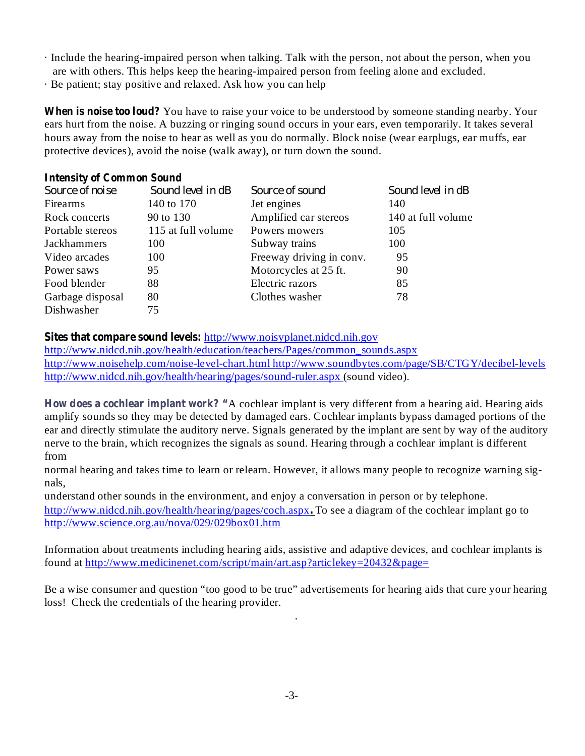- · Include the hearing-impaired person when talking. Talk with the person, not about the person, when you are with others. This helps keep the hearing-impaired person from feeling alone and excluded.
- · Be patient; stay positive and relaxed. Ask how you can help

When is noise too loud? You have to raise your voice to be understood by someone standing nearby. Your ears hurt from the noise. A buzzing or ringing sound occurs in your ears, even temporarily. It takes several hours away from the noise to hear as well as you do normally. Block noise (wear earplugs, ear muffs, ear protective devices), avoid the noise (walk away), or turn down the sound.

#### **Intensity of Common Sound**

| Source of noise  | Sound level in dB  | Source of sound          | Sound level in dB  |
|------------------|--------------------|--------------------------|--------------------|
| Firearms         | 140 to 170         | Jet engines              | 140                |
| Rock concerts    | 90 to 130          | Amplified car stereos    | 140 at full volume |
| Portable stereos | 115 at full volume | Powers mowers            | 105                |
| Jackhammers      | 100                | Subway trains            | 100                |
| Video arcades    | 100                | Freeway driving in conv. | 95                 |
| Power saws       | 95                 | Motorcycles at 25 ft.    | 90                 |
| Food blender     | 88                 | Electric razors          | 85                 |
| Garbage disposal | 80                 | Clothes washer           | 78                 |
| Dishwasher       | 75                 |                          |                    |

**Sites that compare sound levels:** http://www.noisyplanet.nidcd.nih.gov

http://www.nidcd.nih.gov/health/education/teachers/Pages/common\_sounds.aspx http://www.noisehelp.com/noise-level-chart.html http://www.soundbytes.com/page/SB/CTGY/decibel-levels http://www.nidcd.nih.gov/health/hearing/pages/sound-ruler.aspx (sound video).

How does a cochlear implant work? "A cochlear implant is very different from a hearing aid. Hearing aids amplify sounds so they may be detected by damaged ears. Cochlear implants bypass damaged portions of the ear and directly stimulate the auditory nerve. Signals generated by the implant are sent by way of the auditory nerve to the brain, which recognizes the signals as sound. Hearing through a cochlear implant is different from

normal hearing and takes time to learn or relearn. However, it allows many people to recognize warning signals,

understand other sounds in the environment, and enjoy a conversation in person or by telephone. http://www.nidcd.nih.gov/health/hearing/pages/coch.aspx. To see a diagram of the cochlear implant go to http://www.science.org.au/nova/029/029box01.htm

Information about treatments including hearing aids, assistive and adaptive devices, and cochlear implants is found at http://www.medicinenet.com/script/main/art.asp?articlekey=20432&page=

Be a wise consumer and question "too good to be true" advertisements for hearing aids that cure your hearing loss! Check the credentials of the hearing provider.

.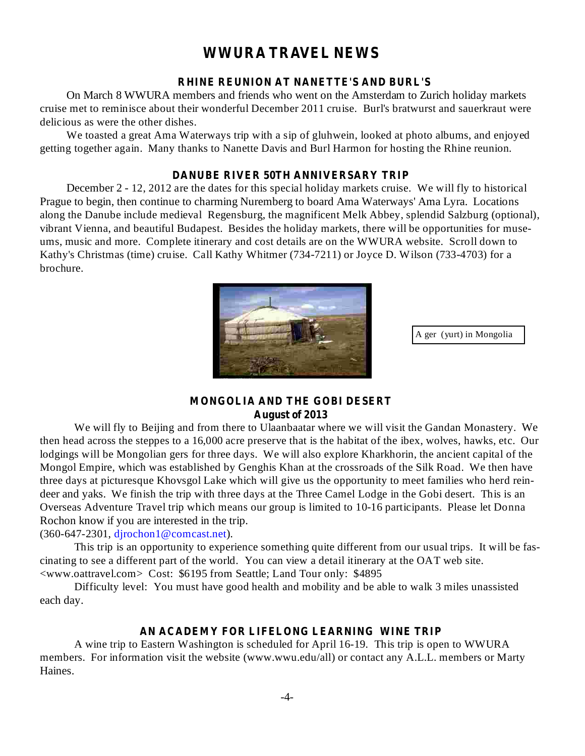### **WWURA TRAVEL NEWS**

#### **RHINE REUNION AT NANETTE'S AND BURL'S**

On March 8 WWURA members and friends who went on the Amsterdam to Zurich holiday markets cruise met to reminisce about their wonderful December 2011 cruise. Burl's bratwurst and sauerkraut were delicious as were the other dishes.

We toasted a great Ama Waterways trip with a sip of gluhwein, looked at photo albums, and enjoyed getting together again. Many thanks to Nanette Davis and Burl Harmon for hosting the Rhine reunion.

#### **DANUBE RIVER 50TH ANNIVERSARY TRIP**

December 2 - 12, 2012 are the dates for this special holiday markets cruise. We will fly to historical Prague to begin, then continue to charming Nuremberg to board Ama Waterways' Ama Lyra. Locations along the Danube include medieval Regensburg, the magnificent Melk Abbey, splendid Salzburg (optional), vibrant Vienna, and beautiful Budapest. Besides the holiday markets, there will be opportunities for museums, music and more. Complete itinerary and cost details are on the WWURA website. Scroll down to Kathy's Christmas (time) cruise. Call Kathy Whitmer (734-7211) or Joyce D. Wilson (733-4703) for a brochure.



A ger (yurt) in Mongolia

### **MONGOLIA AND THE GOBI DESERT August of 2013**

We will fly to Beijing and from there to Ulaanbaatar where we will visit the Gandan Monastery. We then head across the steppes to a 16,000 acre preserve that is the habitat of the ibex, wolves, hawks, etc. Our lodgings will be Mongolian gers for three days. We will also explore Kharkhorin, the ancient capital of the Mongol Empire, which was established by Genghis Khan at the crossroads of the Silk Road. We then have three days at picturesque Khovsgol Lake which will give us the opportunity to meet families who herd reindeer and yaks. We finish the trip with three days at the Three Camel Lodge in the Gobi desert. This is an Overseas Adventure Travel trip which means our group is limited to 10-16 participants. Please let Donna Rochon know if you are interested in the trip.

#### (360-647-2301, djrochon1@comcast.net).

This trip is an opportunity to experience something quite different from our usual trips. It will be fascinating to see a different part of the world. You can view a detail itinerary at the OAT web site. <www.oattravel.com> Cost: \$6195 from Seattle; Land Tour only: \$4895

Difficulty level: You must have good health and mobility and be able to walk 3 miles unassisted each day.

#### **AN ACADEMY FOR LIFELONG LEARNING WINE TRIP**

A wine trip to Eastern Washington is scheduled for April 16-19. This trip is open to WWURA members. For information visit the website (www.wwu.edu/all) or contact any A.L.L. members or Marty Haines.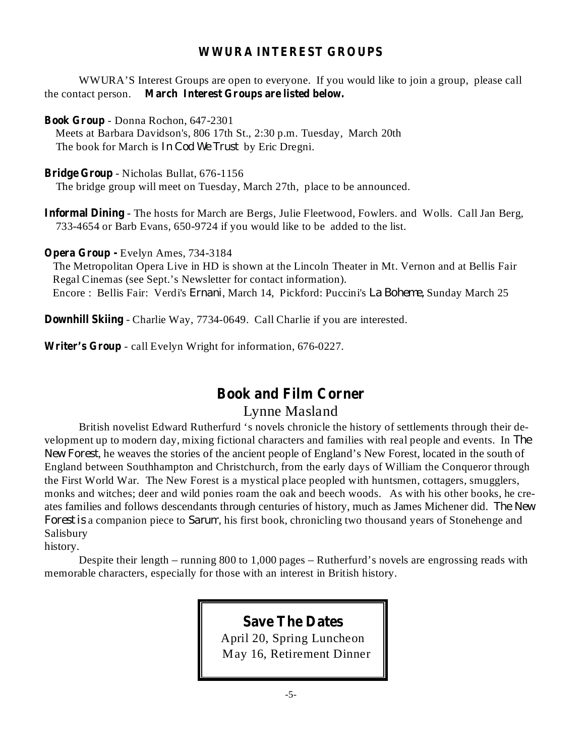### **WWURA INTEREST GROUPS**

**March Interest Groups are listed below.** the contact person. WWURA'S Interest Groups are open to everyone. If you would like to join a group, please call

**Book Group** - Donna Rochon, 647-2301

Meets at Barbara Davidson's, 806 17th St., 2:30 p.m. Tuesday, March 20th The book for March is *In Cod We Trust* by Eric Dregni.

**Bridge Group** - Nicholas Bullat, 676-1156

The bridge group will meet on Tuesday, March 27th, place to be announced.

**Informal Dining** - The hosts for March are Bergs, Julie Fleetwood, Fowlers. and Wolls. Call Jan Berg, 733-4654 or Barb Evans, 650-9724 if you would like to be added to the list.

**Opera Group -** Evelyn Ames, 734-3184

The Metropolitan Opera Live in HD is shown at the Lincoln Theater in Mt. Vernon and at Bellis Fair Regal Cinemas (see Sept.'s Newsletter for contact information). Encore : Bellis Fair: Verdi's *Ernani*, March 14, Pickford: Puccini's *La Boheme*, Sunday March 25

**Downhill Skiing** - Charlie Way, 7734-0649. Call Charlie if you are interested.

**Writer's Group** - call Evelyn Wright for information, 676-0227.

## **Book and Film Corner**

### Lynne Masland

British novelist Edward Rutherfurd 's novels chronicle the history of settlements through their development up to modern day, mixing fictional characters and families with real people and events. In *The* , he weaves the stories of the ancient people of England's New Forest, located in the south of *New Forest* England between Southhampton and Christchurch, from the early days of William the Conqueror through the First World War. The New Forest is a mystical place peopled with huntsmen, cottagers, smugglers, monks and witches; deer and wild ponies roam the oak and beech woods. As with his other books, he creates families and follows descendants through centuries of history, much as James Michener did. *The New* Forest is a companion piece to Sarum, his first book, chronicling two thousand years of Stonehenge and Salisbury

history.

Despite their length – running 800 to 1,000 pages – Rutherfurd's novels are engrossing reads with memorable characters, especially for those with an interest in British history.

> **Save The Dates** April 20, Spring Luncheon May 16, Retirement Dinner